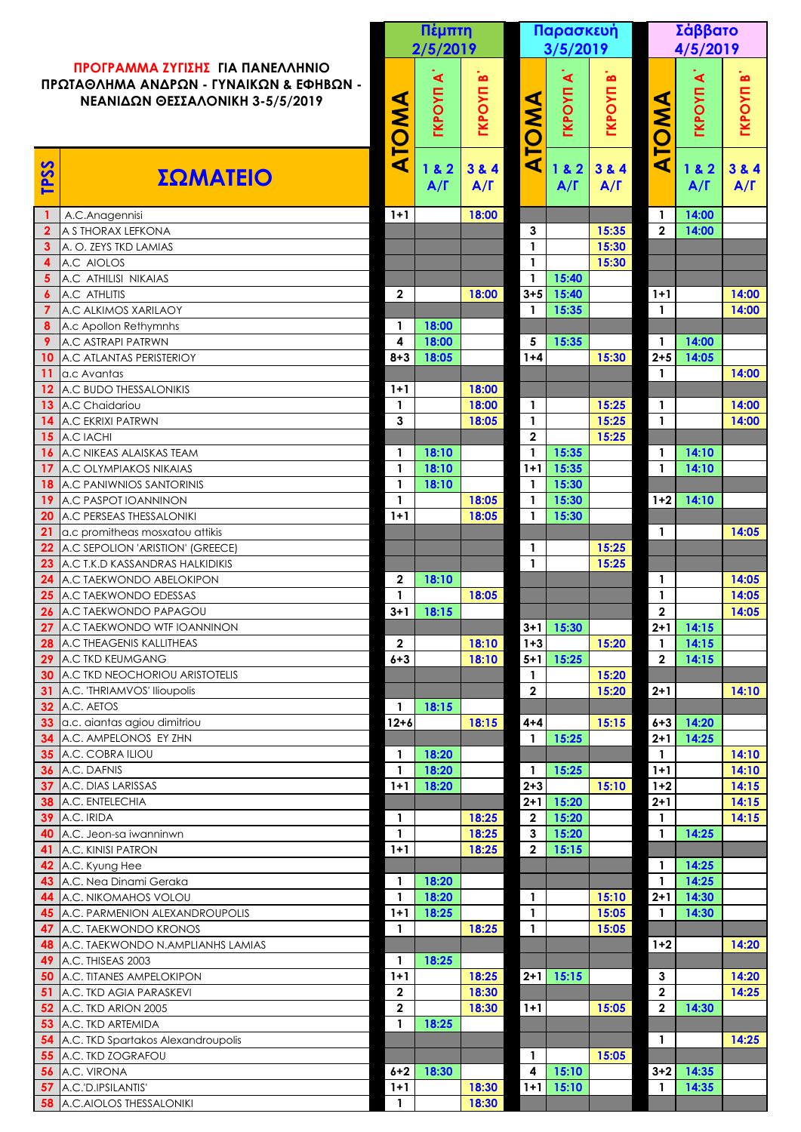|                                                                                                                |                                                                     |                             | Πέμπτη<br>2/5/2019                     |                                        |                              | Παρασκευή                              |                               |                            | Σάββατο                               |                            |  |
|----------------------------------------------------------------------------------------------------------------|---------------------------------------------------------------------|-----------------------------|----------------------------------------|----------------------------------------|------------------------------|----------------------------------------|-------------------------------|----------------------------|---------------------------------------|----------------------------|--|
| ΠΡΟΓΡΑΜΜΑ ΖΥΓΙΣΗΣ ΓΙΑ ΠΑΝΕΛΛΗΝΙΟ<br>ΠΡΩΤΑΘΛΗΜΑ ΑΝΔΡΩΝ - ΓΥΝΑΙΚΩΝ & ΕΦΗΒΩΝ -<br>ΝΕΑΝΙΔΩΝ ΘΕΣΣΑΛΟΝΙΚΗ 3-5/5/2019 |                                                                     |                             |                                        |                                        |                              | 3/5/2019                               |                               |                            | 4/5/2019                              |                            |  |
|                                                                                                                |                                                                     |                             | $\blacktriangleleft$<br><b>TKPOYIT</b> | $\boldsymbol{\omega}$<br><b>TKPOYN</b> |                              | $\blacktriangleleft$<br><b>TKPOYIT</b> | $\mathbf{a}$<br><b>TKPOYN</b> |                            | $\blacktriangleleft$<br><b>TKPOYN</b> | $\bullet$<br><b>TKPOYN</b> |  |
|                                                                                                                |                                                                     | <b>NO</b><br>$\blacksquare$ |                                        |                                        | <b>NWOL</b>                  |                                        |                               | <b>AWO</b><br>$\mathbf{r}$ |                                       |                            |  |
| TPSS                                                                                                           | ΣΩΜΑΤΕΙΟ                                                            | ◀                           | 182<br>$A/\Gamma$                      | 3 & 4<br>$A/\Gamma$                    | $\blacktriangleleft$         | 1 & 2<br>$A/\Gamma$                    | 3 & 4<br>$A/\Gamma$           | $\blacktriangleleft$       | 1 & 2<br>$A/\Gamma$                   | 3 & 4<br>$A/\Gamma$        |  |
|                                                                                                                | A.C.Anagennisi                                                      | $1+1$                       |                                        | 18:00                                  |                              |                                        |                               | -1                         | 14:00                                 |                            |  |
| $\overline{\mathbf{2}}$<br>3                                                                                   | A S THORAX LEFKONA<br>A. O. ZEYS TKD LAMIAS                         |                             |                                        |                                        | 3<br>$\mathbf{1}$            |                                        | 15:35<br>15:30                | $\mathbf{2}$               | 14:00                                 |                            |  |
| 4                                                                                                              | A.C AIOLOS                                                          |                             |                                        |                                        | $\mathbf{1}$                 |                                        | 15:30                         |                            |                                       |                            |  |
| 5                                                                                                              | A.C ATHILISI NIKAIAS                                                |                             |                                        |                                        | $\mathbf 1$                  | 15:40                                  |                               |                            |                                       |                            |  |
| 6                                                                                                              | A.C ATHLITIS                                                        | $\overline{2}$              |                                        | 18:00                                  | $3 + 5$                      | 15:40                                  |                               | $1+1$                      |                                       | 14:00                      |  |
|                                                                                                                | A.C ALKIMOS XARILAOY                                                |                             |                                        |                                        | $\mathbf{1}$                 | 15:35                                  |                               | $\mathbf{1}$               |                                       | 14:00                      |  |
| 8<br>9                                                                                                         | A.c Apollon Rethymnhs<br>A.C ASTRAPI PATRWN                         | $\mathbf{1}$<br>4           | 18:00<br>18:00                         |                                        | 5                            | 15:35                                  |                               | $\mathbf{1}$               | 14:00                                 |                            |  |
| 10                                                                                                             | A.C ATLANTAS PERISTERIOY                                            | $8 + 3$                     | 18:05                                  |                                        | $1 + 4$                      |                                        | 15:30                         | $2 + 5$                    | 14:05                                 |                            |  |
|                                                                                                                | a.c Avantas                                                         |                             |                                        |                                        |                              |                                        |                               | $\mathbf{1}$               |                                       | 14:00                      |  |
| 12                                                                                                             | A.C BUDO THESSALONIKIS                                              | $1 + 1$                     |                                        | 18:00                                  |                              |                                        |                               |                            |                                       |                            |  |
| 13                                                                                                             | A.C Chaidariou                                                      | $\mathbf{1}$                |                                        | 18:00                                  | $\mathbf{1}$                 |                                        | 15:25                         | $\mathbf{1}$               |                                       | 14:00                      |  |
| 15                                                                                                             | A.C EKRIXI PATRWN<br>A.C IACHI                                      | 3                           |                                        | 18:05                                  | $\mathbf{1}$<br>$\mathbf{2}$ |                                        | 15:25<br>15:25                | $\mathbf{1}$               |                                       | 14:00                      |  |
|                                                                                                                | <b>A.C NIKEAS ALAISKAS TEAM</b>                                     | $\mathbf{1}$                | 18:10                                  |                                        | $\mathbf 1$                  | 15:35                                  |                               | 1                          | 14:10                                 |                            |  |
| 17                                                                                                             | <b>A.C OLYMPIAKOS NIKAIAS</b>                                       | $\mathbf{1}$                | 18:10                                  |                                        | $1+1$                        | 15:35                                  |                               | $\mathbf{1}$               | 14:10                                 |                            |  |
|                                                                                                                | <b>A.C PANIWNIOS SANTORINIS</b>                                     | $\mathbf{1}$                | 18:10                                  |                                        | $\mathbf{1}$                 | 15:30                                  |                               |                            |                                       |                            |  |
|                                                                                                                | A.C PASPOT IOANNINON                                                | 1                           |                                        | 18:05                                  | $\mathbf{1}$                 | 15:30                                  |                               | $1+2$                      | 14:10                                 |                            |  |
| 20                                                                                                             | A.C PERSEAS THESSALONIKI                                            | $1+1$                       |                                        | 18:05                                  | $\mathbf{1}$                 | 15:30                                  |                               |                            |                                       |                            |  |
| 21<br>22                                                                                                       | a.c promitheas mosxatou attikis<br>A.C SEPOLION 'ARISTION' (GREECE) |                             |                                        |                                        | $\mathbf{1}$                 |                                        | 15:25                         | $\mathbf{1}$               |                                       | 14:05                      |  |
| 23                                                                                                             | <b>A.C T.K.D KASSANDRAS HALKIDIKIS</b>                              |                             |                                        |                                        | $\mathbf{1}$                 |                                        | 15:25                         |                            |                                       |                            |  |
| 24                                                                                                             | A.C TAEKWONDO ABELOKIPON                                            | $\mathbf{2}$                | 18:10                                  |                                        |                              |                                        |                               | $\mathbf 1$                |                                       | 14:05                      |  |
| 25                                                                                                             | A.C TAEKWONDO EDESSAS                                               |                             |                                        | 18:05                                  |                              |                                        |                               | $\mathbf{1}$               |                                       | 14:05                      |  |
| 26                                                                                                             | A.C TAEKWONDO PAPAGOU                                               | $3 + 1$                     | 18:15                                  |                                        |                              |                                        |                               | $\overline{2}$             |                                       | 14:05                      |  |
| 27<br>28                                                                                                       | A.C TAEKWONDO WTF IOANNINON<br>A.C THEAGENIS KALLITHEAS             | $\boldsymbol{2}$            |                                        | 18:10                                  | $3 + 1$<br>$1 + 3$           | 15:30                                  | 15:20                         | $2 + 1$                    | 14:15<br>14:15                        |                            |  |
| 29                                                                                                             | A.C TKD KEUMGANG                                                    | $6 + 3$                     |                                        | 18:10                                  | $5+1$                        | 15:25                                  |                               | $\mathbf{2}$               | 14:15                                 |                            |  |
| 30                                                                                                             | A.C TKD NEOCHORIOU ARISTOTELIS                                      |                             |                                        |                                        | $\mathbf{1}$                 |                                        | 15:20                         |                            |                                       |                            |  |
| 31                                                                                                             | A.C. 'THRIAMVOS' Ilioupolis                                         |                             |                                        |                                        | $\mathbf{2}$                 |                                        | 15:20                         | $2 + 1$                    |                                       | 14:10                      |  |
| 32                                                                                                             | A.C. AETOS                                                          | $\mathbf{1}$                | 18:15                                  |                                        |                              |                                        |                               |                            |                                       |                            |  |
| 33                                                                                                             | a.c. aiantas agiou dimitriou                                        | $12 + 6$                    |                                        | 18:15                                  | $4 + 4$                      |                                        | 15:15                         | $6 + 3$                    | 14:20                                 |                            |  |
| 34<br>35                                                                                                       | A.C. AMPELONOS EY ZHN<br>A.C. COBRA ILIOU                           | $\mathbf{1}$                | 18:20                                  |                                        | 1                            | 15:25                                  |                               | $2 + 1$<br>$\mathbf{1}$    | 14:25                                 | 14:10                      |  |
| 36                                                                                                             | A.C. DAFNIS                                                         | $\mathbf{1}$                | 18:20                                  |                                        | $\mathbf{1}$                 | 15:25                                  |                               | $1+1$                      |                                       | 14:10                      |  |
| 37                                                                                                             | A.C. DIAS LARISSAS                                                  | $1+1$                       | 18:20                                  |                                        | $2 + 3$                      |                                        | 15:10                         | $1 + 2$                    |                                       | 14:15                      |  |
| 38                                                                                                             | A.C. ENTELECHIA                                                     |                             |                                        |                                        | $2 + 1$                      | 15:20                                  |                               | $2 + 1$                    |                                       | 14:15                      |  |
| 39                                                                                                             | A.C. IRIDA                                                          | $\mathbf{1}$                |                                        | 18:25                                  | $\boldsymbol{2}$             | 15:20                                  |                               | $\mathbf{1}$               |                                       | 14:15                      |  |
| 40<br>41                                                                                                       | A.C. Jeon-sa iwanninwn<br>A.C. KINISI PATRON                        | $\mathbf{1}$<br>$1+1$       |                                        | 18:25<br>18:25                         | $\mathbf{3}$<br>$\mathbf{2}$ | 15:20<br>15:15                         |                               | $\mathbf{1}$               | 14:25                                 |                            |  |
| 42                                                                                                             | A.C. Kyung Hee                                                      |                             |                                        |                                        |                              |                                        |                               |                            | 14:25                                 |                            |  |
| 43                                                                                                             | A.C. Nea Dinami Geraka                                              | 1                           | 18:20                                  |                                        |                              |                                        |                               |                            | 14:25                                 |                            |  |
| 44                                                                                                             | <b>A.C. NIKOMAHOS VOLOU</b>                                         | $\mathbf{1}$                | 18:20                                  |                                        | $\mathbf{1}$                 |                                        | 15:10                         | $2 + 1$                    | 14:30                                 |                            |  |
|                                                                                                                | 45 A.C. PARMENION ALEXANDROUPOLIS                                   | $1+1$                       | 18:25                                  |                                        | $\mathbf{1}$                 |                                        | 15:05                         | $\mathbf{1}$               | 14:30                                 |                            |  |
| 47                                                                                                             | A.C. TAEKWONDO KRONOS                                               | 1                           |                                        | 18:25                                  | $\mathbf{1}$                 |                                        | 15:05                         |                            |                                       |                            |  |
| 48<br>49                                                                                                       | A.C. TAEKWONDO N.AMPLIANHS LAMIAS<br>A.C. THISEAS 2003              | $\mathbf{1}$                | 18:25                                  |                                        |                              |                                        |                               | $1+2$                      |                                       | 14:20                      |  |
| 50                                                                                                             | A.C. TITANES AMPELOKIPON                                            | $1 + 1$                     |                                        | 18:25                                  | $2+1$                        | 15:15                                  |                               | $\mathbf{3}$               |                                       | 14:20                      |  |
| 51                                                                                                             | A.C. TKD AGIA PARASKEVI                                             | $\boldsymbol{2}$            |                                        | 18:30                                  |                              |                                        |                               | $\mathbf{2}$               |                                       | 14:25                      |  |
| 52                                                                                                             | A.C. TKD ARION 2005                                                 | $\boldsymbol{2}$            |                                        | 18:30                                  | $1+1$                        |                                        | 15:05                         | $\mathbf{2}$               | 14:30                                 |                            |  |
| 53                                                                                                             | A.C. TKD ARTEMIDA                                                   | $\mathbf{1}$                | 18:25                                  |                                        |                              |                                        |                               |                            |                                       |                            |  |
| 54                                                                                                             | A.C. TKD Spartakos Alexandroupolis                                  |                             |                                        |                                        |                              |                                        |                               | $\mathbf{1}$               |                                       | 14:25                      |  |
| 55<br>56                                                                                                       | A.C. TKD ZOGRAFOU<br>A.C. VIRONA                                    | $6 + 2$                     | 18:30                                  |                                        | $\mathbf{1}$<br>4            | 15:10                                  | 15:05                         | $3 + 2$                    | 14:35                                 |                            |  |
| 57                                                                                                             | A.C.'D.IPSILANTIS'                                                  | $1+1$                       |                                        | 18:30                                  | $1 + 1$                      | 15:10                                  |                               |                            | 14:35                                 |                            |  |
|                                                                                                                | <b>58</b> A.C. AIOLOS THESSALONIKI                                  | $\mathbf{1}$                |                                        | 18:30                                  |                              |                                        |                               |                            |                                       |                            |  |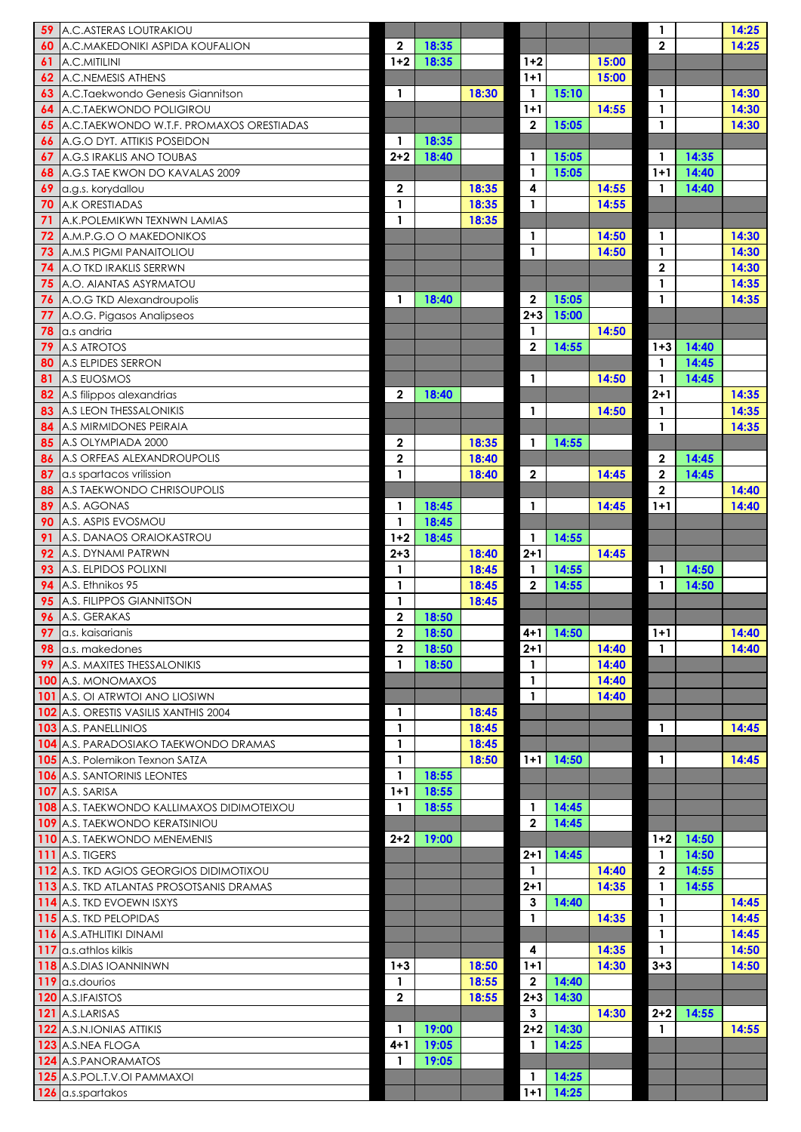| 59       | A.C. ASTERAS LOUTRAKIOU                                                     |                  |                |                |                              |                |       |                          |                | 14:25 |
|----------|-----------------------------------------------------------------------------|------------------|----------------|----------------|------------------------------|----------------|-------|--------------------------|----------------|-------|
| 60       | A.C.MAKEDONIKI ASPIDA KOUFALION                                             | $\mathbf{2}$     | 18:35          |                |                              |                |       | $\mathbf{2}$             |                | 14:25 |
| 61       | A.C.MITILINI                                                                | $1 + 2$          | 18:35          |                | $1 + 2$                      |                | 15:00 |                          |                |       |
| 62       | A.C.NEMESIS ATHENS                                                          |                  |                |                | $1+1$                        |                | 15:00 |                          |                |       |
| 63       | A.C.Taekwondo Genesis Giannitson                                            | $\mathbf{1}$     |                | 18:30          | $\mathbf{1}$                 | 15:10          |       | $\mathbf{1}$             |                | 14:30 |
| 64       | A.C.TAEKWONDO POLIGIROU                                                     |                  |                |                | $1+1$                        |                | 14:55 | $\mathbf{1}$             |                | 14:30 |
| 65       | A.C.TAEKWONDO W.T.F. PROMAXOS ORESTIADAS                                    |                  |                |                | $\boldsymbol{2}$             | 15:05          |       | $\overline{\mathbf{1}}$  |                | 14:30 |
| 66       | A.G.O DYT. ATTIKIS POSEIDON                                                 | $2 + 2$          | 18:35          |                |                              |                |       |                          |                |       |
| 68       | A.G.S IRAKLIS ANO TOUBAS<br>A.G.S TAE KWON DO KAVALAS 2009                  |                  | 18:40          |                | $\mathbf{1}$<br>$\mathbf{1}$ | 15:05<br>15:05 |       | $1 + 1$                  | 14:35<br>14:40 |       |
| 69       | a.g.s. korydallou                                                           | $\mathbf{2}$     |                | 18:35          | 4                            |                | 14:55 | $\mathbf{1}$             | 14:40          |       |
| 70       | <b>A.K ORESTIADAS</b>                                                       |                  |                | 18:35          | $\mathbf{1}$                 |                | 14:55 |                          |                |       |
| 71       | A.K.POLEMIKWN TEXNWN LAMIAS                                                 | $\mathbf{1}$     |                | 18:35          |                              |                |       |                          |                |       |
| 72       | A.M.P.G.O O MAKEDONIKOS                                                     |                  |                |                | $\mathbf{1}$                 |                | 14:50 | $\mathbf{1}$             |                | 14:30 |
| 73       | A.M.S PIGMI PANAITOLIOU                                                     |                  |                |                | $\mathbf{1}$                 |                | 14:50 | $\mathbf{1}$             |                | 14:30 |
| 74       | A.O TKD IRAKLIS SERRWN                                                      |                  |                |                |                              |                |       | $\boldsymbol{2}$         |                | 14:30 |
| 75       | A.O. AIANTAS ASYRMATOU                                                      |                  |                |                |                              |                |       |                          |                | 14:35 |
| 76       | A.O.G TKD Alexandroupolis                                                   |                  | 18:40          |                | $\boldsymbol{2}$             | 15:05          |       | $\mathbf{1}$             |                | 14:35 |
| 77       | A.O.G. Pigasos Analipseos                                                   |                  |                |                | $2 + 3$                      | 15:00          |       |                          |                |       |
| 78       | la.s andria                                                                 |                  |                |                | $\mathbf{1}$                 |                | 14:50 |                          |                |       |
| 79       | A.S ATROTOS                                                                 |                  |                |                | $\boldsymbol{2}$             | 14:55          |       | $1 + 3$                  | 14:40          |       |
| 80       | A.S ELPIDES SERRON                                                          |                  |                |                |                              |                |       |                          | 14:45          |       |
| 81<br>82 | <b>A.S EUOSMOS</b><br>A.S filippos alexandrias                              | $\overline{2}$   | 18:40          |                | $\mathbf{1}$                 |                | 14:50 | $2 + 1$                  | 14:45          | 14:35 |
| 83       | A.S LEON THESSALONIKIS                                                      |                  |                |                | $\mathbf{1}$                 |                | 14:50 |                          |                | 14:35 |
| 84       | A.S MIRMIDONES PEIRAIA                                                      |                  |                |                |                              |                |       | 1                        |                | 14:35 |
| 85       | A.S OLYMPIADA 2000                                                          | $\boldsymbol{2}$ |                | 18:35          | $\mathbf{1}$                 | 14:55          |       |                          |                |       |
|          | <b>A.S ORFEAS ALEXANDROUPOLIS</b>                                           | $\mathbf 2$      |                | 18:40          |                              |                |       | $\boldsymbol{2}$         | 14:45          |       |
| 87       | a.s spartacos vrilission                                                    | $\mathbf{1}$     |                | 18:40          | $\overline{2}$               |                | 14:45 | $\overline{2}$           | 14:45          |       |
| 88       | A.S TAEKWONDO CHRISOUPOLIS                                                  |                  |                |                |                              |                |       | $\overline{2}$           |                | 14:40 |
| 89       | A.S. AGONAS                                                                 | $\mathbf{1}$     | 18:45          |                | $\mathbf{1}$                 |                | 14:45 | $1+1$                    |                | 14:40 |
| 90       | A.S. ASPIS EVOSMOU                                                          |                  | 18:45          |                |                              |                |       |                          |                |       |
| 91       | A.S. DANAOS ORAIOKASTROU                                                    | $1 + 2$          | 18:45          |                | $\mathbf{1}$                 | 14:55          |       |                          |                |       |
| 92       | <b>A.S. DYNAMI PATRWN</b>                                                   | $2 + 3$          |                | 18:40          | $2 + 1$                      |                | 14:45 |                          |                |       |
| 93       | A.S. ELPIDOS POLIXNI                                                        |                  |                | 18:45          | $\mathbf{1}$                 | 14:55          |       |                          | 14:50          |       |
| 94       | A.S. Ethnikos 95<br>A.S. FILIPPOS GIANNITSON                                | $\mathbf{1}$     |                | 18:45<br>18:45 | $\overline{2}$               | 14:55          |       | $\mathbf 1$              | 14:50          |       |
| 95<br>96 | A.S. GERAKAS                                                                | $\mathbf{2}$     | 18:50          |                |                              |                |       |                          |                |       |
| 97       | la.s. kaisarianis                                                           | $\mathbf 2$      | 18:50          |                | $4 + 1$                      | 14:50          |       | $1+1$                    |                | 14:40 |
| 98       | a.s. makedones                                                              | $\mathbf{2}$     | 18:50          |                | $2 + 1$                      |                | 14:40 |                          |                | 14:40 |
| 99       | A.S. MAXITES THESSALONIKIS                                                  |                  | 18:50          |                | $\mathbf{1}$                 |                | 14:40 |                          |                |       |
|          | <b>100</b> A.S. MONOMAXOS                                                   |                  |                |                | $\mathbf{1}$                 |                | 14:40 |                          |                |       |
|          | <b>101</b> A.S. OI ATRWTOI ANO LIOSIWN                                      |                  |                |                | $\mathbf{1}$                 |                | 14:40 |                          |                |       |
|          | <b>102 A.S. ORESTIS VASILIS XANTHIS 2004</b>                                | $\mathbf{1}$     |                | 18:45          |                              |                |       |                          |                |       |
|          | <b>103</b> A.S. PANELLINIOS                                                 |                  |                | 18:45          |                              |                |       | 1                        |                | 14:45 |
|          | <b>104</b> A.S. PARADOSIAKO TAEKWONDO DRAMAS                                | $\mathbf{1}$     |                | 18:45          |                              |                |       |                          |                |       |
|          | <b>105</b> A.S. Polemikon Texnon SATZA                                      | 1                |                | 18:50          | $1+1$                        | 14:50          |       | $\mathbf{1}$             |                | 14:45 |
|          | <b>106 A.S. SANTORINIS LEONTES</b>                                          |                  | 18:55          |                |                              |                |       |                          |                |       |
|          | <b>107 A.S. SARISA</b><br><b>108 A.S. TAEKWONDO KALLIMAXOS DIDIMOTEIXOU</b> | $1+1$            | 18:55          |                |                              |                |       |                          |                |       |
|          | <b>109 A.S. TAEKWONDO KERATSINIOU</b>                                       |                  | 18:55          |                | $\mathbf 1$<br>$\mathbf{2}$  | 14:45<br>14:45 |       |                          |                |       |
|          | 110 A.S. TAEKWONDO MENEMENIS                                                | $2 + 2$          | 19:00          |                |                              |                |       | $1+2$                    | 14:50          |       |
|          | <b>111</b> A.S. TIGERS                                                      |                  |                |                | $2 + 1$                      | 14:45          |       |                          | 14:50          |       |
|          | 112 A.S. TKD AGIOS GEORGIOS DIDIMOTIXOU                                     |                  |                |                |                              |                | 14:40 | $\overline{2}$           | 14:55          |       |
|          | <b>113 A.S. TKD ATLANTAS PROSOTSANIS DRAMAS</b>                             |                  |                |                | $2 + 1$                      |                | 14:35 | $\mathbf{1}$             | 14:55          |       |
|          | <b>114</b> A.S. TKD EVOEWN ISXYS                                            |                  |                |                | $\mathbf{3}$                 | 14:40          |       | $\mathbf{1}$             |                | 14:45 |
|          | 115 A.S. TKD PELOPIDAS                                                      |                  |                |                | $\mathbf{1}$                 |                | 14:35 | 1                        |                | 14:45 |
|          | 116 A.S. ATHLITIKI DINAMI                                                   |                  |                |                |                              |                |       | $\overline{\phantom{a}}$ |                | 14:45 |
|          | 117 a.s.athlos kilkis                                                       |                  |                |                | 4                            |                | 14:35 | $\mathbf{1}$             |                | 14:50 |
|          | <b>118</b> A.S.DIAS IOANNINWN                                               | $1 + 3$          |                | 18:50          | $1 + 1$                      |                | 14:30 | $3 + 3$                  |                | 14:50 |
|          | 119 a.s. dourios                                                            | $\mathbf{1}$     |                | 18:55          | $\overline{2}$               | 14:40          |       |                          |                |       |
|          | 120 A.S.IFAISTOS                                                            | $\mathbf 2$      |                | 18:55          | $2 + 3$                      | 14:30          |       |                          |                |       |
|          | 121 A.S.LARISAS                                                             | $\mathbf{1}$     |                |                | 3<br>$2+2$                   | 14:30          | 14:30 | $2 + 2$                  | 14:55          |       |
|          | <b>122</b> A.S.N.IONIAS ATTIKIS<br>123 A.S.NEA FLOGA                        | $4 + 1$          | 19:00<br>19:05 |                | $\mathbf{1}$                 | 14:25          |       | $\mathbf{1}$             |                | 14:55 |
|          | 124 A.S. PANORAMATOS                                                        | $\mathbf 1$      | 19:05          |                |                              |                |       |                          |                |       |
|          | 125 A.S.POL.T.V.OI PAMMAXOI                                                 |                  |                |                | 1                            | 14:25          |       |                          |                |       |
|          | 126 a.s.spartakos                                                           |                  |                |                | $1+1$                        | 14:25          |       |                          |                |       |